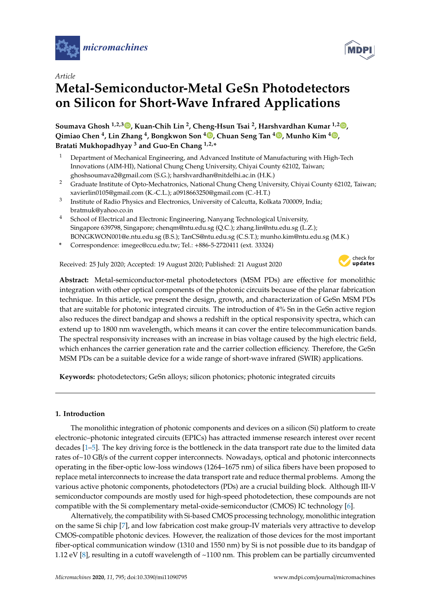



# *Article*

# **Metal-Semiconductor-Metal GeSn Photodetectors on Silicon for Short-Wave Infrared Applications**

**Soumava Ghosh 1,2,3 , Kuan-Chih Lin <sup>2</sup> , Cheng-Hsun Tsai <sup>2</sup> , Harshvardhan Kumar 1,2 , Qimiao Chen <sup>4</sup> , Lin Zhang <sup>4</sup> , Bongkwon Son <sup>4</sup> , Chuan Seng Tan <sup>4</sup> , Munho Kim <sup>4</sup> , Bratati Mukhopadhyay <sup>3</sup> and Guo-En Chang 1,2,\***

- <sup>1</sup> Department of Mechanical Engineering, and Advanced Institute of Manufacturing with High-Tech Innovations (AIM-HI), National Chung Cheng University, Chiyai County 62102, Taiwan; ghoshsoumava2@gmail.com (S.G.); harshvardhan@nitdelhi.ac.in (H.K.)
- <sup>2</sup> Graduate Institute of Opto-Mechatronics, National Chung Cheng University, Chiyai County 62102, Taiwan; xavierlin0105@gmail.com (K.-C.L.); a0918663250@gmail.com (C.-H.T.)
- 3 Institute of Radio Physics and Electronics, University of Calcutta, Kolkata 700009, India; bratmuk@yahoo.co.in
- <sup>4</sup> School of Electrical and Electronic Engineering, Nanyang Technological University, Singapore 639798, Singapore; chenqm@ntu.edu.sg (Q.C.); zhang.lin@ntu.edu.sg (L.Z.); BONGKWON001@e.ntu.edu.sg (B.S.); TanCS@ntu.edu.sg (C.S.T.); munho.kim@ntu.edu.sg (M.K.)
- **\*** Correspondence: imegec@ccu.edu.tw; Tel.: +886-5-2720411 (ext. 33324)

Received: 25 July 2020; Accepted: 19 August 2020; Published: 21 August 2020



**Abstract:** Metal-semiconductor-metal photodetectors (MSM PDs) are effective for monolithic integration with other optical components of the photonic circuits because of the planar fabrication technique. In this article, we present the design, growth, and characterization of GeSn MSM PDs that are suitable for photonic integrated circuits. The introduction of 4% Sn in the GeSn active region also reduces the direct bandgap and shows a redshift in the optical responsivity spectra, which can extend up to 1800 nm wavelength, which means it can cover the entire telecommunication bands. The spectral responsivity increases with an increase in bias voltage caused by the high electric field, which enhances the carrier generation rate and the carrier collection efficiency. Therefore, the GeSn MSM PDs can be a suitable device for a wide range of short-wave infrared (SWIR) applications.

**Keywords:** photodetectors; GeSn alloys; silicon photonics; photonic integrated circuits

### **1. Introduction**

The monolithic integration of photonic components and devices on a silicon (Si) platform to create electronic–photonic integrated circuits (EPICs) has attracted immense research interest over recent decades [1–5]. The key driving force is the bottleneck in the data transport rate due to the limited data rates of~10 GB/s of the current copper interconnects. Nowadays, optical and photonic interconnects operating in the fiber-optic low-loss windows (1264–1675 nm) of silica fibers have been proposed to replace metal interconnects to increase the data transport rate and reduce thermal problems. Among the various active photonic components, photodetectors (PDs) are a crucial building block. Although III-V semiconductor compounds are mostly used for high-speed photodetection, these compounds are not compatible with the Si complementary metal-oxide-semiconductor (CMOS) IC technology [6].

Alternatively, the compatibility with Si-based CMOS processing technology, monolithic integration on the same Si chip [7], and low fabrication cost make group-IV materials very attractive to develop CMOS-compatible photonic devices. However, the realization of those devices for the most important fiber-optical communication window (1310 and 1550 nm) by Si is not possible due to its bandgap of 1.12 eV [8], resulting in a cutoff wavelength of ~1100 nm. This problem can be partially circumvented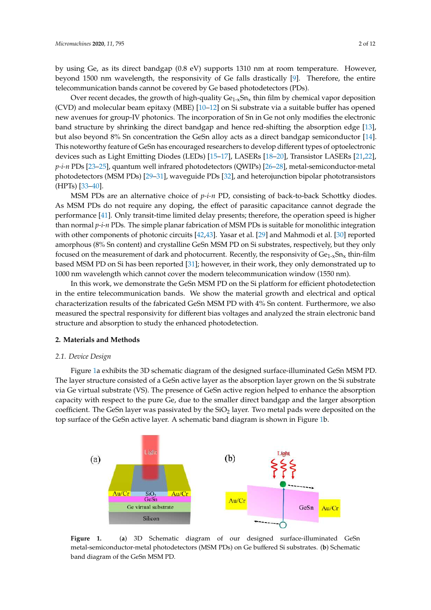by using Ge, as its direct bandgap (0.8 eV) supports 1310 nm at room temperature. However, beyond 1500 nm wavelength, the responsivity of Ge falls drastically [9]. Therefore, the entire telecommunication bands cannot be covered by Ge based photodetectors (PDs).

Over recent decades, the growth of high-quality  $Ge_{1-x}Sn_x$  thin film by chemical vapor deposition (CVD) and molecular beam epitaxy (MBE) [10–12] on Si substrate via a suitable buffer has opened new avenues for group-IV photonics. The incorporation of Sn in Ge not only modifies the electronic band structure by shrinking the direct bandgap and hence red-shifting the absorption edge [13], but also beyond 8% Sn concentration the GeSn alloy acts as a direct bandgap semiconductor [14]. This noteworthy feature of GeSn has encouraged researchers to develop different types of optoelectronic devices such as Light Emitting Diodes (LEDs) [15–17], LASERs [18–20], Transistor LASERs [21,22], *p-i-n* PDs [23–25], quantum well infrared photodetectors (QWIPs) [26–28], metal-semiconductor-metal photodetectors (MSM PDs) [29–31], waveguide PDs [32], and heterojunction bipolar phototransistors (HPTs) [33–40].

MSM PDs are an alternative choice of *p-i-n* PD, consisting of back-to-back Schottky diodes. As MSM PDs do not require any doping, the effect of parasitic capacitance cannot degrade the performance [41]. Only transit-time limited delay presents; therefore, the operation speed is higher than normal *p-i-n* PDs. The simple planar fabrication of MSM PDs is suitable for monolithic integration with other components of photonic circuits [42,43]. Yasar et al. [29] and Mahmodi et al. [30] reported amorphous (8% Sn content) and crystalline GeSn MSM PD on Si substrates, respectively, but they only focused on the measurement of dark and photocurrent. Recently, the responsivity of  $Ge_{1-x}Sn_x$  thin-film based MSM PD on Si has been reported [31]; however, in their work, they only demonstrated up to 1000 nm wavelength which cannot cover the modern telecommunication window (1550 nm).

In this work, we demonstrate the GeSn MSM PD on the Si platform for efficient photodetection in the entire telecommunication bands. We show the material growth and electrical and optical characterization results of the fabricated GeSn MSM PD with 4% Sn content. Furthermore, we also measured the spectral responsivity for different bias voltages and analyzed the strain electronic band structure and absorption to study the enhanced photodetection.

#### **2. Materials and Methods**

#### *2.1. Device Design*

Figure 1a exhibits the 3D schematic diagram of the designed surface-illuminated GeSn MSM PD. The layer structure consisted of a GeSn active layer as the absorption layer grown on the Si substrate via Ge virtual substrate (VS). The presence of GeSn active region helped to enhance the absorption capacity with respect to the pure Ge, due to the smaller direct bandgap and the larger absorption coefficient. The GeSn layer was passivated by the  $SiO<sub>2</sub>$  layer. Two metal pads were deposited on the top surface of the GeSn active layer. A schematic band diagram is shown in Figure 1b.



Figure 1. (a) 3D Schematic diagram of our designed surface-illuminated GeSn metal-semiconductor-metal photodetectors (MSM PDs) on Ge buffered Si substrates. (**b**) Schematic band diagram of the GeSn MSM PD.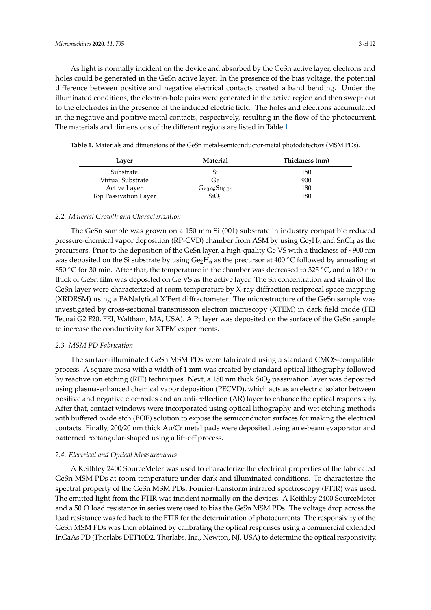As light is normally incident on the device and absorbed by the GeSn active layer, electrons and holes could be generated in the GeSn active layer. In the presence of the bias voltage, the potential difference between positive and negative electrical contacts created a band bending. Under the illuminated conditions, the electron-hole pairs were generated in the active region and then swept out to the electrodes in the presence of the induced electric field. The holes and electrons accumulated in the negative and positive metal contacts, respectively, resulting in the flow of the photocurrent. The materials and dimensions of the different regions are listed in Table 1.

| Laver                 | Material                              | Thickness (nm) |  |
|-----------------------|---------------------------------------|----------------|--|
| Substrate             | Si                                    | 150            |  |
| Virtual Substrate     | Ge                                    | 900            |  |
| Active Layer          | Ge <sub>0.96</sub> Sn <sub>0.04</sub> | 180            |  |
| Top Passivation Layer |                                       | 180            |  |

**Table 1.** Materials and dimensions of the GeSn metal-semiconductor-metal photodetectors (MSM PDs).

#### *2.2. Material Growth and Characterization*

The GeSn sample was grown on a 150 mm Si (001) substrate in industry compatible reduced pressure-chemical vapor deposition (RP-CVD) chamber from ASM by using  $Ge_2H_6$  and SnCl<sub>4</sub> as the precursors. Prior to the deposition of the GeSn layer, a high-quality Ge VS with a thickness of ~900 nm was deposited on the Si substrate by using  $Ge_2H_6$  as the precursor at 400 °C followed by annealing at 850 °C for 30 min. After that, the temperature in the chamber was decreased to 325 °C, and a 180 nm thick of GeSn film was deposited on Ge VS as the active layer. The Sn concentration and strain of the GeSn layer were characterized at room temperature by X-ray diffraction reciprocal space mapping (XRDRSM) using a PANalytical X'Pert diffractometer. The microstructure of the GeSn sample was investigated by cross-sectional transmission electron microscopy (XTEM) in dark field mode (FEI Tecnai G2 F20, FEI, Waltham, MA, USA). A Pt layer was deposited on the surface of the GeSn sample to increase the conductivity for XTEM experiments.

#### *2.3. MSM PD Fabrication*

The surface-illuminated GeSn MSM PDs were fabricated using a standard CMOS-compatible process. A square mesa with a width of 1 mm was created by standard optical lithography followed by reactive ion etching (RIE) techniques. Next, a 180 nm thick  $SiO<sub>2</sub>$  passivation layer was deposited using plasma-enhanced chemical vapor deposition (PECVD), which acts as an electric isolator between positive and negative electrodes and an anti-reflection (AR) layer to enhance the optical responsivity. After that, contact windows were incorporated using optical lithography and wet etching methods with buffered oxide etch (BOE) solution to expose the semiconductor surfaces for making the electrical contacts. Finally, 200/20 nm thick Au/Cr metal pads were deposited using an e-beam evaporator and patterned rectangular-shaped using a lift-off process.

#### *2.4. Electrical and Optical Measurements*

A Keithley 2400 SourceMeter was used to characterize the electrical properties of the fabricated GeSn MSM PDs at room temperature under dark and illuminated conditions. To characterize the spectral property of the GeSn MSM PDs, Fourier-transform infrared spectroscopy (FTIR) was used. The emitted light from the FTIR was incident normally on the devices. A Keithley 2400 SourceMeter and a 50  $\Omega$  load resistance in series were used to bias the GeSn MSM PDs. The voltage drop across the load resistance was fed back to the FTIR for the determination of photocurrents. The responsivity of the GeSn MSM PDs was then obtained by calibrating the optical responses using a commercial extended InGaAs PD (Thorlabs DET10D2, Thorlabs, Inc., Newton, NJ, USA) to determine the optical responsivity.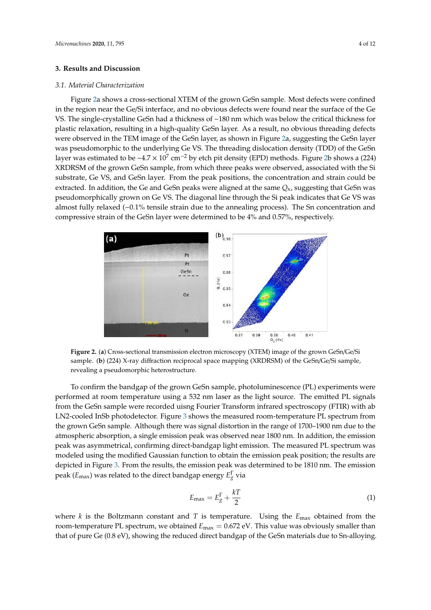#### **3. Results and Discussion**

#### *3.1. Material Characterization*

Figure 2a shows a cross-sectional XTEM of the grown GeSn sample. Most defects were confined in the region near the Ge/Si interface, and no obvious defects were found near the surface of the Ge VS. The single-crystalline GeSn had a thickness of ~180 nm which was below the critical thickness for ‐ plastic relaxation, resulting in a high-quality GeSn layer. As a result, no obvious threading defects were observed in the TEM image of the GeSn layer, as shown in Figure 2a, suggesting the GeSn layer ‐ was pseudomorphic to the underlying Ge VS. The threading dislocation density (TDD) of the GeSn ‐ layer was estimated to be ~4.7  $\times$  10<sup>7</sup> cm<sup>-2</sup> by etch pit density (EPD) methods. Figure 2b shows a (224) XRDRSM of the grown GeSn sample, from which three peaks were observed, associated with the Si − substrate, Ge VS, and GeSn layer. From the peak positions, the concentration and strain could be extracted. In addition, the Ge and GeSn peaks were aligned at the same *Q*x, suggesting that GeSn was pseudomorphically grown on Ge VS. The diagonal line through the Si peak indicates that Ge VS was almost fully relaxed  $(-0.1\%$  tensile strain due to the annealing process). The Sn concentration and compressive strain of the GeSn layer were determined to be 4% and 0.57%, respectively.



‐ **Figure 2.** (**a**) Cross-sectional transmission electron microscopy (XTEM) image of the grown GeSn/Ge/Si sample. (b) (224) X-ray diffraction reciprocal space mapping (XRDRSM) of the GeSn/Ge/Si sample, revealing a pseudomorphic heterostructure.

‐ performed at room temperature using a 532 nm laser as the light source. The emitted PL signals ‐ from the GeSn sample were recorded uisng Fourier Transform infrared spectroscopy (FTIR) with ab the grown GeSn sample. Although there was signal distortion in the range of 1700–1900 nm due to the To confirm the bandgap of the grown GeSn sample, photoluminescence (PL) experiments were LN2-cooled InSb photodetector. Figure 3 shows the measured room-temperature PL spectrum from atmospheric absorption, a single emission peak was observed near 1800 nm. In addition, the emission peak was asymmetrical, confirming direct-bandgap light emission. The measured PL spectrum was modeled using the modified Gaussian function to obtain the emission peak position; the results are depicted in Figure 3. From the results, the emission peak was determined to be 1810 nm. The emission peak (*E*max) was related to the direct bandgap energy *E* Γ *<sup>g</sup>* via

$$
E_{\text{max}} = E_g^{\Gamma} + \frac{kT}{2} \tag{1}
$$

where *k* is the Boltzmann constant and *T* is temperature. Using the *E*max obtained from the room-temperature PL spectrum, we obtained  $E_{\text{max}} = 0.672 \text{ eV}$ . This value was obviously smaller than that of pure Ge (0.8 eV), showing the reduced direct bandgap of the GeSn materials due to Sn-alloying.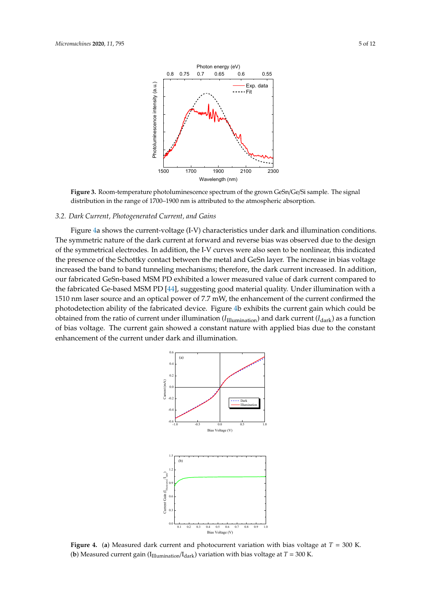

‐ **Figure 3.** Room-temperature photoluminescence spectrum of the grown GeSn/Ge/Si sample. The signal distribution in the range of 1700–1900 nm is attributed to the atmospheric absorption.

#### *3.2. Dark Current, Photogenerated Current, and Gains*

Figure 4a shows the current-voltage (I-V) characteristics under dark and illumination conditions. The symmetric nature of the dark current at forward and reverse bias was observed due to the design the presence of the Schottky contact between the metal and GeSn layer. The increase in bias voltage increased the band to band tunneling mechanisms; therefore, the dark current increased. In addition, of the symmetrical electrodes. In addition, the I-V curves were also seen to be nonlinear, this indicated our fabricated GeSn-based MSM PD exhibited a lower measured value of dark current compared to the fabricated Ge-based MSM PD [44], suggesting good material quality. Under illumination with a 1510 nm laser source and an optical power of 7.7 mW, the enhancement of the current confirmed the photodetection ability of the fabricated device. Figure 4b exhibits the current gain which could be obtained from the ratio of current under illumination (*I*Illumination) and dark current (*I*dark) as a function of bias voltage. The current gain showed a constant nature with applied bias due to the constant enhancement of the current under dark and illumination.



**Figure 4.** (**a**) Measured dark current and photocurrent variation with bias voltage at *T* = 300 K. (**b**) Measured current gain ( $I<sub>Illumination</sub>/I<sub>dark</sub>$ ) variation with bias voltage at  $T = 300$  K.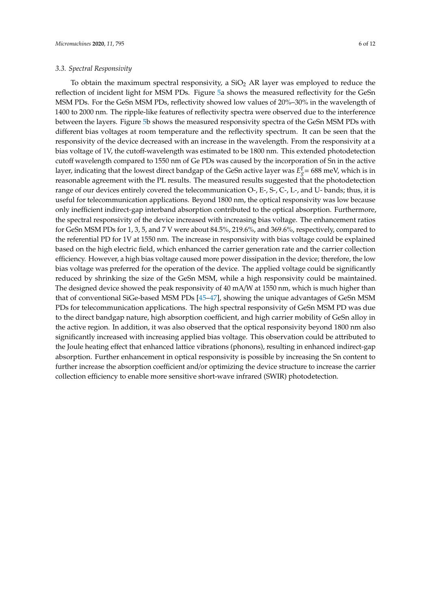#### *3.3. Spectral Responsivity*

To obtain the maximum spectral responsivity, a  $SiO<sub>2</sub>$  AR layer was employed to reduce the reflection of incident light for MSM PDs. Figure 5a shows the measured reflectivity for the GeSn MSM PDs. For the GeSn MSM PDs, reflectivity showed low values of 20%–30% in the wavelength of 1400 to 2000 nm. The ripple-like features of reflectivity spectra were observed due to the interference between the layers. Figure 5b shows the measured responsivity spectra of the GeSn MSM PDs with different bias voltages at room temperature and the reflectivity spectrum. It can be seen that the responsivity of the device decreased with an increase in the wavelength. From the responsivity at a bias voltage of 1V, the cutoff-wavelength was estimated to be 1800 nm. This extended photodetection cutoff wavelength compared to 1550 nm of Ge PDs was caused by the incorporation of Sn in the active layer, indicating that the lowest direct bandgap of the GeSn active layer was *E* Γ *<sup>g</sup>*= 688 meV, which is in reasonable agreement with the PL results. The measured results suggested that the photodetection range of our devices entirely covered the telecommunication O-, E-, S-, C-, L-, and U- bands; thus, it is useful for telecommunication applications. Beyond 1800 nm, the optical responsivity was low because only inefficient indirect-gap interband absorption contributed to the optical absorption. Furthermore, the spectral responsivity of the device increased with increasing bias voltage. The enhancement ratios for GeSn MSM PDs for 1, 3, 5, and 7 V were about 84.5%, 219.6%, and 369.6%, respectively, compared to the referential PD for 1V at 1550 nm. The increase in responsivity with bias voltage could be explained based on the high electric field, which enhanced the carrier generation rate and the carrier collection efficiency. However, a high bias voltage caused more power dissipation in the device; therefore, the low bias voltage was preferred for the operation of the device. The applied voltage could be significantly reduced by shrinking the size of the GeSn MSM, while a high responsivity could be maintained. The designed device showed the peak responsivity of 40 mA/W at 1550 nm, which is much higher than that of conventional SiGe-based MSM PDs [45–47], showing the unique advantages of GeSn MSM PDs for telecommunication applications. The high spectral responsivity of GeSn MSM PD was due to the direct bandgap nature, high absorption coefficient, and high carrier mobility of GeSn alloy in the active region. In addition, it was also observed that the optical responsivity beyond 1800 nm also significantly increased with increasing applied bias voltage. This observation could be attributed to the Joule heating effect that enhanced lattice vibrations (phonons), resulting in enhanced indirect-gap absorption. Further enhancement in optical responsivity is possible by increasing the Sn content to further increase the absorption coefficient and/or optimizing the device structure to increase the carrier collection efficiency to enable more sensitive short-wave infrared (SWIR) photodetection.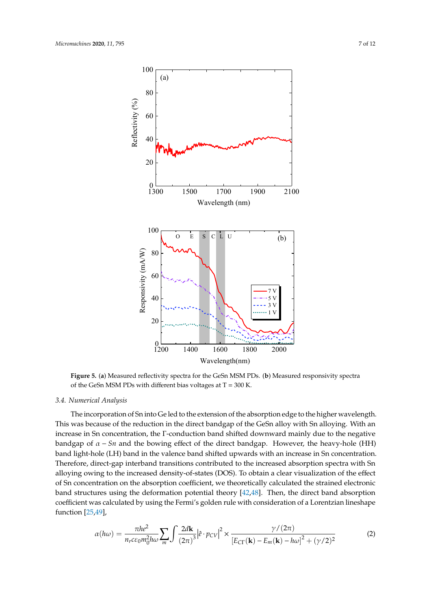

**Figure 5.** (**a**) Measured reflectivity spectra for the GeSn MSM PDs. (**b**) Measured responsivity spectra of the GeSn MSM PDs with different bias voltages at  $T = 300$  K.

#### *3.4. Numerical Analysis*

The incorporation of Sn into Ge led to the extension of the absorption edge to the higher wavelength. This was because of the reduction in the direct bandgap of the GeSn alloy with Sn alloying. With an increase in Sn concentration, the Γ-conduction band shifted downward mainly due to the negative bandgap of  $\alpha$  – *Sn* and the bowing effect of the direct bandgap. However, the heavy-hole (HH) band light-hole (LH) band in the valence band shifted upwards with an increase in Sn concentration. Therefore, direct-gap interband transitions contributed to the increased absorption spectra with Sn alloying owing to the increased density-of-states (DOS). To obtain a clear visualization of the effect of Sn concentration on the absorption coefficient, we theoretically calculated the strained electronic band structures using the deformation potential theory [42,48]. Then, the direct band absorption coefficient was calculated by using the Fermi's golden rule with consideration of a Lorentzian lineshape function [25,49],

$$
\alpha(h\omega) = \frac{\pi h e^2}{n_r c \varepsilon_0 m_0^2 h \omega} \sum_m \int \frac{2d\mathbf{k}}{(2\pi)^3} \left| \hat{e} \cdot p_{CV} \right|^2 \times \frac{\gamma/(2\pi)}{\left[E_{\text{CT}}(\mathbf{k}) - E_m(\mathbf{k}) - h\omega\right]^2 + (\gamma/2)^2}
$$
(2)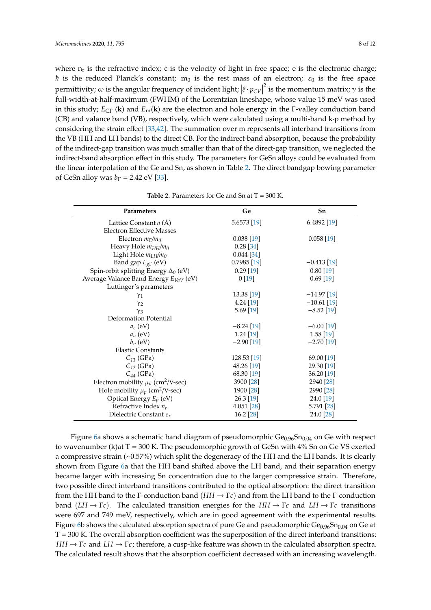where  $n_r$  is the refractive index; c is the velocity of light in free space; e is the electronic charge; *h* is the reduced Planck's constant; m<sub>0</sub> is the rest mass of an electron;  $\varepsilon_0$  is the free space permittivity; ω is the angular frequency of incident light;  $\left| \hat{e} \cdot p_{CV} \right|^2$  is the momentum matrix; γ is the full width of helf maximum (EMLIA) of the Lagration lineabang whose value 15 meV was used  full-width-at-half-maximum (FWHM) of the Lorentzian lineshape, whose value 15 meV was used in this study; *E*<sub>CΓ</sub> (**k**) and *E*<sub>m</sub>(**k**) are the electron and hole energy in the Γ-valley conduction band (CB) and valance band (VB), respectively, which were calculated using a multi-band k·p method by considering the strain effect [33,42]. The summation over m represents all interband transitions from the VB (HH and LH bands) to the direct CB. For the indirect-band absorption, because the probability of the indirect-gap transition was much smaller than that of the direct-gap transition, we neglected the indirect-band absorption effect in this study. The parameters for GeSn alloys could be evaluated from the linear interpolation of the Ge and Sn, as shown in Table 2. The direct bandgap bowing parameter of GeSn alloy was  $b_\Gamma = 2.42$  eV [33].

| Parameters                                         | Ge            | Sn            |
|----------------------------------------------------|---------------|---------------|
| Lattice Constant <i>a</i> (Å)                      | 5.6573 [19]   | 6.4892 [19]   |
| <b>Electron Effective Masses</b>                   |               |               |
| Electron $m_{\Gamma}/m_0$                          | $0.038$ [19]  | $0.058$ [19]  |
| Heavy Hole $m_{HH}/m_0$                            | 0.28[34]      |               |
| Light Hole $m_{LH}/m_0$                            | $0.044$ [34]  |               |
| Band gap $E_{g\Gamma}$ (eV)                        | $0.7985$ [19] | $-0.413$ [19] |
| Spin-orbit splitting Energy $\Delta_0$ (eV)        | $0.29$ [19]   | $0.80$ [19]   |
| Average Valance Band Energy $E_{VaV}$ (eV)         | 0[19]         | $0.69$ [19]   |
| Luttinger's parameters                             |               |               |
| $\gamma_1$                                         | 13.38 [19]    | $-14.97$ [19] |
| $\gamma_2$                                         | 4.24 [19]     | $-10.61$ [19] |
| $\gamma_3$                                         | $5.69$ [19]   | $-8.52$ [19]  |
| Deformation Potential                              |               |               |
| $a_c$ (eV)                                         | $-8.24$ [19]  | $-6.00$ [19]  |
| $a_v$ (eV)                                         | $1.24$ [19]   | $1.58$ [19]   |
| $b_v$ (eV)                                         | $-2.90$ [19]  | $-2.70$ [19]  |
| <b>Elastic Constants</b>                           |               |               |
| $C_{11}$ (GPa)                                     | 128.53 [19]   | 69.00 [19]    |
| $C_{12}$ (GPa)                                     | 48.26 [19]    | 29.30 [19]    |
| $C_{44}$ (GPa)                                     | 68.30 [19]    | 36.20 [19]    |
| Electron mobility $\mu_n$ (cm <sup>2</sup> /V-sec) | 3900 [28]     | 2940 [28]     |
| Hole mobility $\mu_p$ (cm <sup>2</sup> /V-sec)     | 1900 [28]     | 2990 [28]     |
| Optical Energy $E_p$ (eV)                          | 26.3 [19]     | 24.0 [19]     |
| Refractive Index $n_r$                             | 4.051 [28]    | 5.791 [28]    |
| Dielectric Constant $\varepsilon_r$                | 16.2 [28]     | 24.0 [28]     |

|  | <b>Table 2.</b> Parameters for Ge and Sn at $T = 300$ K. |  |  |  |
|--|----------------------------------------------------------|--|--|--|
|--|----------------------------------------------------------|--|--|--|

Figure 6a shows a schematic band diagram of pseudomorphic  $Ge_{0.96}Sn_{0.04}$  on Ge with respect to wavenumber (k)at  $T = 300$  K. The pseudomorphic growth of GeSn with  $4\%$  Sn on Ge VS exerted a compressive strain (~0.57%) which split the degeneracy of the HH and the LH bands. It is clearly shown from Figure 6a that the HH band shifted above the LH band, and their separation energy became larger with increasing Sn concentration due to the larger compressive strain. Therefore, two possible direct interband transitions contributed to the optical absorption: the direct transition from the HH band to the Γ-conduction band (*HH* → Γ*c*) and from the LH band to the Γ-conduction band  $(LH \to \Gamma c)$ . The calculated transition energies for the  $HH \to \Gamma c$  and  $LH \to \Gamma c$  transitions were 697 and 749 meV, respectively, which are in good agreement with the experimental results. Figure 6b shows the calculated absorption spectra of pure Ge and pseudomorphic  $Ge_{0.96}Sn_{0.04}$  on Ge at  $T = 300$  K. The overall absorption coefficient was the superposition of the direct interband transitions: *HH* → Γ*c* and *LH* → Γ*c*; therefore, a cusp-like feature was shown in the calculated absorption spectra. The calculated result shows that the absorption coefficient decreased with an increasing wavelength.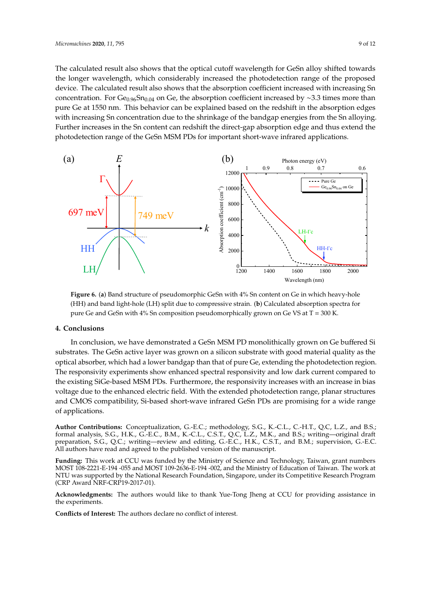The calculated result also shows that the optical cutoff wavelength for GeSn alloy shifted towards the longer wavelength, which considerably increased the photodetection range of the proposed device. The calculated result also shows that the absorption coefficient increased with increasing Sn concentration. For  $Ge_{0.96}Sn_{0.04}$  on Ge, the absorption coefficient increased by ∼3.3 times more than pure Ge at 1550 nm. This behavior can be explained based on the redshift in the absorption edges with increasing Sn concentration due to the shrinkage of the bandgap energies from the Sn alloying. ‐ Further increases in the Sn content can redshift the direct-gap absorption edge and thus extend the ‐ photodetection range of the GeSn MSM PDs for important short-wave infrared applications.



‐ (HH) and band light-hole (LH) split due to compressive strain. (**b**) Calculated absorption spectra for pure Ge and GeSn with 4% Sn composition pseudomorphically grown on Ge VS at T = 300 K. **Figure 6.** (**a**) Band structure of pseudomorphic GeSn with 4% Sn content on Ge in which heavy-hole

#### **4. Conclusions**

In conclusion, we have demonstrated a GeSn MSM PD monolithically grown on Ge buffered Si substrates. The GeSn active layer was grown on a silicon substrate with good material quality as the optical absorber, which had a lower bandgap than that of pure Ge, extending the photodetection region. The responsivity experiments show enhanced spectral responsivity and low dark current compared to the existing SiGe-based MSM PDs. Furthermore, the responsivity increases with an increase in bias voltage due to the enhanced electric field. With the extended photodetection range, planar structures and CMOS compatibility, Si-based short-wave infrared GeSn PDs are promising for a wide range of applications.

**Author Contributions:** Conceptualization, G.-E.C.; methodology, S.G., K.-C.L., C.-H.T., Q.C, L.Z., and B.S.; formal analysis, S.G., H.K., G.-E.C., B.M., K.-C.L., C.S.T., Q.C, L.Z., M.K., and B.S.; writing—original draft preparation, S.G., Q.C.; writing—review and editing, G.-E.C., H.K., C.S.T., and B.M.; supervision, G.-E.C. All authors have read and agreed to the published version of the manuscript.

**Funding:** This work at CCU was funded by the Ministry of Science and Technology, Taiwan, grant numbers MOST 108-2221-E-194 -055 and MOST 109-2636-E-194 -002, and the Ministry of Education of Taiwan. The work at NTU was supported by the National Research Foundation, Singapore, under its Competitive Research Program (CRP Award NRF-CRP19-2017-01).

**Acknowledgments:** The authors would like to thank Yue-Tong Jheng at CCU for providing assistance in the experiments.

**Conflicts of Interest:** The authors declare no conflict of interest.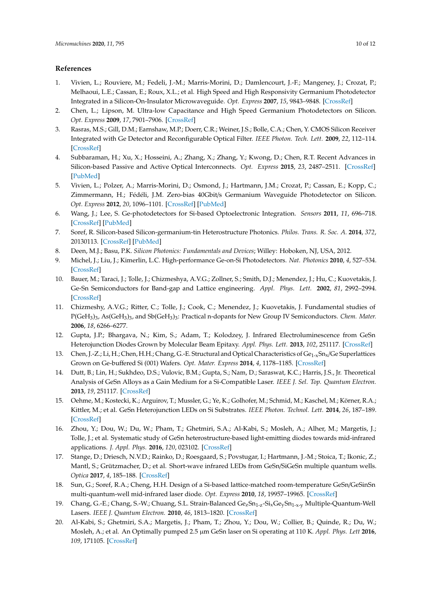## **References**

- 1. Vivien, L.; Rouviere, M.; Fedeli, J.-M.; Marris-Morini, D.; Damlencourt, J.-F.; Mangeney, J.; Crozat, P.; Melhaoui, L.E.; Cassan, E.; Roux, X.L.; et al. High Speed and High Responsivity Germanium Photodetector Integrated in a Silicon-On-Insulator Microwaveguide. *Opt. Express* **2007**, *15*, 9843–9848. [CrossRef]
- 2. Chen, L.; Lipson, M. Ultra-low Capacitance and High Speed Germanium Photodetectors on Silicon. *Opt. Express* **2009**, *17*, 7901–7906. [CrossRef]
- 3. Rasras, M.S.; Gill, D.M.; Earnshaw, M.P.; Doerr, C.R.; Weiner, J.S.; Bolle, C.A.; Chen, Y. CMOS Silicon Receiver Integrated with Ge Detector and Reconfigurable Optical Filter. *IEEE Photon. Tech. Lett.* **2009**, *22*, 112–114. [CrossRef]
- 4. Subbaraman, H.; Xu, X.; Hosseini, A.; Zhang, X.; Zhang, Y.; Kwong, D.; Chen, R.T. Recent Advances in Silicon-based Passive and Active Optical Interconnects. *Opt. Express* **2015**, *23*, 2487–2511. [CrossRef] [PubMed]
- 5. Vivien, L.; Polzer, A.; Marris-Morini, D.; Osmond, J.; Hartmann, J.M.; Crozat, P.; Cassan, E.; Kopp, C.; Zimmermann, H.; Fédéli, J.M. Zero-bias 40Gbit/s Germanium Waveguide Photodetector on Silicon. *Opt. Express* **2012**, *20*, 1096–1101. [CrossRef] [PubMed]
- 6. Wang, J.; Lee, S. Ge-photodetectors for Si-based Optoelectronic Integration. *Sensors* **2011**, *11*, 696–718. [CrossRef] [PubMed]
- 7. Soref, R. Silicon-based Silicon-germanium-tin Heterostructure Photonics. *Philos. Trans. R. Soc. A.* **2014**, *372*, 20130113. [CrossRef] [PubMed]
- 8. Deen, M.J.; Basu, P.K. *Silicon Photonics: Fundamentals and Devices*; Willey: Hoboken, NJ, USA, 2012.
- 9. Michel, J.; Liu, J.; Kimerlin, L.C. High-performance Ge-on-Si Photodetectors. *Nat. Photonics* **2010**, *4*, 527–534. [CrossRef]
- 10. Bauer, M.; Taraci, J.; Tolle, J.; Chizmeshya, A.V.G.; Zollner, S.; Smith, D.J.; Menendez, J.; Hu, C.; Kuovetakis, J. Ge-Sn Semiconductors for Band-gap and Lattice engineering. *Appl. Phys. Lett.* **2002**, *81*, 2992–2994. [CrossRef]
- 11. Chizmeshy, A.V.G.; Ritter, C.; Tolle, J.; Cook, C.; Menendez, J.; Kuovetakis, J. Fundamental studies of P(GeH<sub>3</sub>)<sub>3</sub>, As(GeH<sub>3</sub>)<sub>3</sub>, and Sb(GeH<sub>3</sub>)<sub>3</sub>: Practical n-dopants for New Group IV Semiconductors. *Chem. Mater.* **2006**, *18*, 6266–6277.
- 12. Gupta, J.P.; Bhargava, N.; Kim, S.; Adam, T.; Kolodzey, J. Infrared Electroluminescence from GeSn Heterojunction Diodes Grown by Molecular Beam Epitaxy. *Appl. Phys. Lett.* **2013**, *102*, 251117. [CrossRef]
- 13. Chen, J.-Z.; Li, H.; Chen, H.H.; Chang, G.-E. Structural and Optical Characteristics of Ge<sub>1-x</sub>Sn<sub>x</sub>/Ge Superlattices Grown on Ge-buffered Si (001) Wafers. *Opt. Mater. Express* **2014**, *4*, 1178–1185. [CrossRef]
- 14. Dutt, B.; Lin, H.; Sukhdeo, D.S.; Vulovic, B.M.; Gupta, S.; Nam, D.; Saraswat, K.C.; Harris, J.S., Jr. Theoretical Analysis of GeSn Alloys as a Gain Medium for a Si-Compatible Laser. *IEEE J. Sel. Top. Quantum Electron.* **2013**, *19*, 251117. [CrossRef]
- 15. Oehme, M.; Kostecki, K.; Arguirov, T.; Mussler, G.; Ye, K.; Golhofer, M.; Schmid, M.; Kaschel, M.; Körner, R.A.; Kittler, M.; et al. GeSn Heterojunction LEDs on Si Substrates. *IEEE Photon. Technol. Lett.* **2014**, *26*, 187–189. [CrossRef]
- 16. Zhou, Y.; Dou, W.; Du, W.; Pham, T.; Ghetmiri, S.A.; Al-Kabi, S.; Mosleh, A.; Alher, M.; Margetis, J.; Tolle, J.; et al. Systematic study of GeSn heterostructure-based light-emitting diodes towards mid-infrared applications. *J. Appl. Phys.* **2016**, *120*, 023102. [CrossRef]
- 17. Stange, D.; Driesch, N.V.D.; Rainko, D.; Roesgaard, S.; Povstugar, I.; Hartmann, J.-M.; Stoica, T.; Ikonic, Z.; Mantl, S.; Grützmacher, D.; et al. Short-wave infrared LEDs from GeSn/SiGeSn multiple quantum wells. *Optica* **2017**, *4*, 185–188. [CrossRef]
- 18. Sun, G.; Soref, R.A.; Cheng, H.H. Design of a Si-based lattice-matched room-temperature GeSn/GeSinSn multi-quantum-well mid-infrared laser diode. *Opt. Express* **2010**, *18*, 19957–19965. [CrossRef]
- 19. Chang, G.-E.; Chang, S.-W.; Chuang, S.L. Strain-Balanced Ge<sub>z</sub>Sn<sub>1-z</sub>-Si<sub>x</sub>Ge<sub>y</sub>Sn<sub>1-x-y</sub> Multiple-Quantum-Well Lasers. *IEEE J. Quantum Electron.* **2010**, *46*, 1813–1820. [CrossRef]
- 20. Al-Kabi, S.; Ghetmiri, S.A.; Margetis, J.; Pham, T.; Zhou, Y.; Dou, W.; Collier, B.; Quinde, R.; Du, W.; Mosleh, A.; et al. An Optimally pumped 2.5 µm GeSn laser on Si operating at 110 K. *Appl. Phys. Lett* **2016**, *109*, 171105. [CrossRef]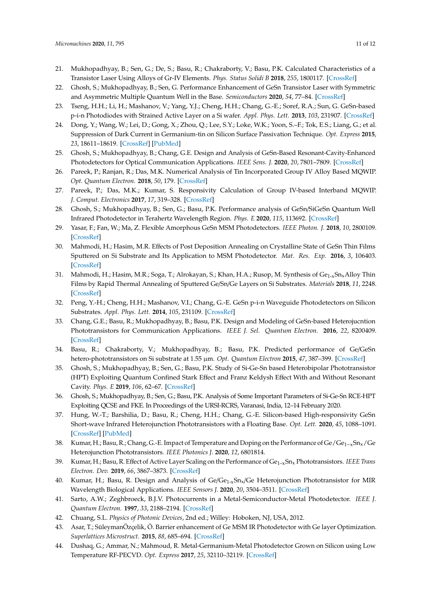- 21. Mukhopadhyay, B.; Sen, G.; De, S.; Basu, R.; Chakraborty, V.; Basu, P.K. Calculated Characteristics of a Transistor Laser Using Alloys of Gr-IV Elements. *Phys. Status Solidi B* **2018**, *255*, 1800117. [CrossRef]
- 22. Ghosh, S.; Mukhopadhyay, B.; Sen, G. Performance Enhancement of GeSn Transistor Laser with Symmetric and Asymmetric Multiple Quantum Well in the Base. *Semiconductors* **2020**, *54*, 77–84. [CrossRef]
- 23. Tseng, H.H.; Li, H.; Mashanov, V.; Yang, Y.J.; Cheng, H.H.; Chang, G.-E.; Soref, R.A.; Sun, G. GeSn-based p-i-n Photodiodes with Strained Active Layer on a Si wafer. *Appl. Phys. Lett.* **2013**, *103*, 231907. [CrossRef]
- 24. Dong, Y.; Wang, W.; Lei, D.; Gong, X.; Zhou, Q.; Lee, S.Y.; Loke, W.K.; Yoon, S.–F.; Tok, E.S.; Liang, G.; et al. Suppression of Dark Current in Germanium-tin on Silicon Surface Passivation Technique. *Opt. Express* **2015**, *23*, 18611–18619. [CrossRef] [PubMed]
- 25. Ghosh, S.; Mukhopadhyay, B.; Chang, G.E. Design and Analysis of GeSn-Based Resonant-Cavity-Enhanced Photodetectors for Optical Communication Applications. *IEEE Sens. J.* **2020**, *20*, 7801–7809. [CrossRef]
- 26. Pareek, P.; Ranjan, R.; Das, M.K. Numerical Analysis of Tin Incorporated Group IV Alloy Based MQWIP. *Opt. Quantum Electron.* **2018**, *50*, 179. [CrossRef]
- 27. Pareek, P.; Das, M.K.; Kumar, S. Responsivity Calculation of Group IV-based Interband MQWIP. *J. Comput. Electronics* **2017**, *17*, 319–328. [CrossRef]
- 28. Ghosh, S.; Mukhopadhyay, B.; Sen, G.; Basu, P.K. Performance analysis of GeSn/SiGeSn Quantum Well Infrared Photodetector in Terahertz Wavelength Region. *Phys. E* **2020**, *115*, 113692. [CrossRef]
- 29. Yasar, F.; Fan, W.; Ma, Z. Flexible Amorphous GeSn MSM Photodetectors. *IEEE Photon. J.* **2018**, *10*, 2800109. [CrossRef]
- 30. Mahmodi, H.; Hasim, M.R. Effects of Post Deposition Annealing on Crystalline State of GeSn Thin Films Sputtered on Si Substrate and Its Application to MSM Photodetector. *Mat. Res. Exp.* **2016**, *3*, 106403. [CrossRef]
- 31. Mahmodi, H.; Hasim, M.R.; Soga, T.; Alrokayan, S.; Khan, H.A.; Rusop, M. Synthesis of Ge<sub>1-x</sub>Sn<sub>x</sub>Alloy Thin Films by Rapid Thermal Annealing of Sputtered Ge/Sn/Ge Layers on Si Substrates. *Materials* **2018**, *11*, 2248. [CrossRef]
- 32. Peng, Y.-H.; Cheng, H.H.; Mashanov, V.I.; Chang, G.-E. GeSn p-i-n Waveguide Photodetectors on Silicon Substrates. *Appl. Phys. Lett.* **2014**, *105*, 231109. [CrossRef]
- 33. Chang, G.E.; Basu, R.; Mukhopadhyay, B.; Basu, P.K. Design and Modeling of GeSn-based Heterojucntion Phototransistors for Communication Applications. *IEEE J. Sel. Quantum Electron.* **2016**, *22*, 8200409. [CrossRef]
- 34. Basu, R.; Chakraborty, V.; Mukhopadhyay, B.; Basu, P.K. Predicted performance of Ge/GeSn hetero-phototransistors on Si substrate at 1.55 µm. *Opt. Quantum Electron* **2015**, *47*, 387–399. [CrossRef]
- 35. Ghosh, S.; Mukhopadhyay, B.; Sen, G.; Basu, P.K. Study of Si-Ge-Sn based Heterobipolar Phototransistor (HPT) Exploiting Quantum Confined Stark Effect and Franz Keldysh Effect With and Without Resonant Cavity. *Phys. E* **2019**, *106*, 62–67. [CrossRef]
- 36. Ghosh, S.; Mukhopadhyay, B.; Sen, G.; Basu, P.K. Analysis of Some Important Parameters of Si-Ge-Sn RCE-HPT Exploiting QCSE and FKE. In Proceedings of the URSI-RCRS, Varanasi, India, 12–14 February 2020.
- 37. Hung, W.-T.; Barshilia, D.; Basu, R.; Cheng, H.H.; Chang, G.-E. Silicon-based High-responsivity GeSn Short-wave Infrared Heterojunction Phototransistors with a Floating Base. *Opt. Lett.* **2020**, *45*, 1088–1091. [CrossRef] [PubMed]
- 38. Kumar, H.; Basu, R.; Chang, G.-E. Impact of Temperature and Doping on the Performance of Ge/Ge1−xSnx/Ge Heterojunction Phototransistors. *IEEE Photonics J.* **2020**, *12*, 6801814.
- 39. Kumar, H.; Basu, R. Effect of Active Layer Scaling on the Performance of Ge1–xSn<sup>x</sup> Phototransistors. *IEEE Trans Electron. Dev.* **2019**, *66*, 3867–3873. [CrossRef]
- 40. Kumar, H.; Basu, R. Design and Analysis of Ge/Ge<sub>1-x</sub>Sn<sub>x</sub>/Ge Heterojunction Phototransistor for MIR Wavelength Biological Applications. *IEEE Sensors J.* **2020**, *20*, 3504–3511. [CrossRef]
- 41. Sarto, A.W.; Zeghbroeck, B.J.V. Photocurrents in a Metal-Semiconductor-Metal Photodetector. *IEEE J. Quantum Electron.* **1997**, *33*, 2188–2194. [CrossRef]
- 42. Chuang, S.L. *Physics of Photonic Devices*, 2nd ed.; Willey: Hoboken, NJ, USA, 2012.
- 43. Asar, T.; SüleymanÖzçelik, Ö. Barrier enhancement of Ge MSM IR Photodetector with Ge layer Optimization. *Superlattices Microstruct.* **2015**, *88*, 685–694. [CrossRef]
- 44. Dushaq, G.; Ammar, N.; Mahmoud, R. Metal-Germanium-Metal Photodetector Grown on Silicon using Low Temperature RF-PECVD. *Opt. Express* **2017**, *25*, 32110–32119. [CrossRef]